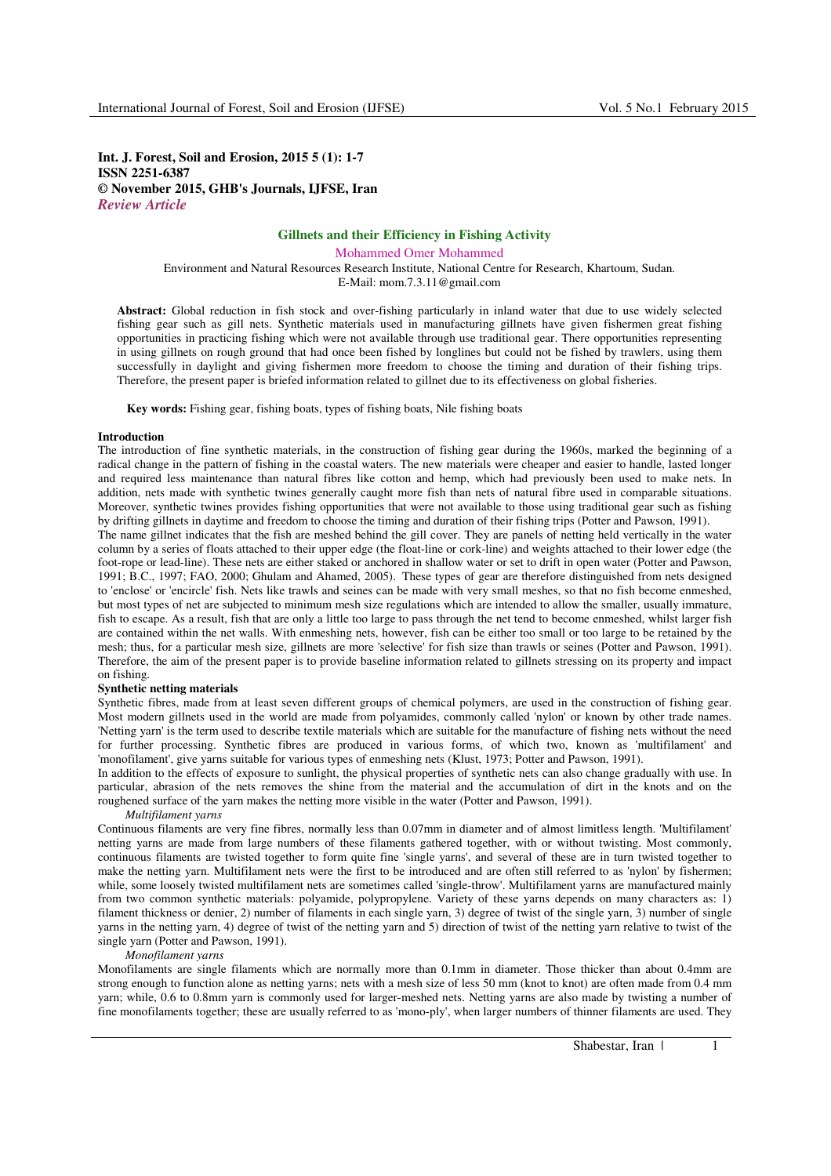# **Int. J. Forest, Soil and Erosion, 2015 5 (1): 1-7 ISSN 2251-6387 © November 2015, GHB's Journals, IJFSE, Iran** *Review Article*

# **Gillnets and their Efficiency in Fishing Activity**

Mohammed Omer Mohammed Environment and Natural Resources Research Institute, National Centre for Research, Khartoum, Sudan. E-Mail: mom.7.3.11@gmail.com

**Abstract:** Global reduction in fish stock and over-fishing particularly in inland water that due to use widely selected fishing gear such as gill nets. Synthetic materials used in manufacturing gillnets have given fishermen great fishing opportunities in practicing fishing which were not available through use traditional gear. There opportunities representing in using gillnets on rough ground that had once been fished by longlines but could not be fished by trawlers, using them successfully in daylight and giving fishermen more freedom to choose the timing and duration of their fishing trips. Therefore, the present paper is briefed information related to gillnet due to its effectiveness on global fisheries.

**Key words:** Fishing gear, fishing boats, types of fishing boats, Nile fishing boats

#### **Introduction**

The introduction of fine synthetic materials, in the construction of fishing gear during the 1960s, marked the beginning of a radical change in the pattern of fishing in the coastal waters. The new materials were cheaper and easier to handle, lasted longer and required less maintenance than natural fibres like cotton and hemp, which had previously been used to make nets. In addition, nets made with synthetic twines generally caught more fish than nets of natural fibre used in comparable situations. Moreover, synthetic twines provides fishing opportunities that were not available to those using traditional gear such as fishing by drifting gillnets in daytime and freedom to choose the timing and duration of their fishing trips (Potter and Pawson, 1991).

The name gillnet indicates that the fish are meshed behind the gill cover. They are panels of netting held vertically in the water column by a series of floats attached to their upper edge (the float-line or cork-line) and weights attached to their lower edge (the foot-rope or lead-line). These nets are either staked or anchored in shallow water or set to drift in open water (Potter and Pawson, 1991; B.C., 1997; FAO, 2000; Ghulam and Ahamed, 2005). These types of gear are therefore distinguished from nets designed to 'enclose' or 'encircle' fish. Nets like trawls and seines can be made with very small meshes, so that no fish become enmeshed, but most types of net are subjected to minimum mesh size regulations which are intended to allow the smaller, usually immature, fish to escape. As a result, fish that are only a little too large to pass through the net tend to become enmeshed, whilst larger fish are contained within the net walls. With enmeshing nets, however, fish can be either too small or too large to be retained by the mesh; thus, for a particular mesh size, gillnets are more 'selective' for fish size than trawls or seines (Potter and Pawson, 1991). Therefore, the aim of the present paper is to provide baseline information related to gillnets stressing on its property and impact on fishing.

## **Synthetic netting materials**

Synthetic fibres, made from at least seven different groups of chemical polymers, are used in the construction of fishing gear. Most modern gillnets used in the world are made from polyamides, commonly called 'nylon' or known by other trade names. 'Netting yarn' is the term used to describe textile materials which are suitable for the manufacture of fishing nets without the need for further processing. Synthetic fibres are produced in various forms, of which two, known as 'multifilament' and 'monofilament', give yarns suitable for various types of enmeshing nets (Klust, 1973; Potter and Pawson, 1991).

In addition to the effects of exposure to sunlight, the physical properties of synthetic nets can also change gradually with use. In particular, abrasion of the nets removes the shine from the material and the accumulation of dirt in the knots and on the roughened surface of the yarn makes the netting more visible in the water (Potter and Pawson, 1991).

# *Multifilament yarns*

Continuous filaments are very fine fibres, normally less than 0.07mm in diameter and of almost limitless length. 'Multifilament' netting yarns are made from large numbers of these filaments gathered together, with or without twisting. Most commonly, continuous filaments are twisted together to form quite fine 'single yarns', and several of these are in turn twisted together to make the netting yarn. Multifilament nets were the first to be introduced and are often still referred to as 'nylon' by fishermen; while, some loosely twisted multifilament nets are sometimes called 'single-throw'. Multifilament yarns are manufactured mainly from two common synthetic materials: polyamide, polypropylene. Variety of these yarns depends on many characters as: 1) filament thickness or denier, 2) number of filaments in each single yarn, 3) degree of twist of the single yarn, 3) number of single yarns in the netting yarn, 4) degree of twist of the netting yarn and 5) direction of twist of the netting yarn relative to twist of the single yarn (Potter and Pawson, 1991).

#### *Monofilament yarns*

Monofilaments are single filaments which are normally more than 0.1mm in diameter. Those thicker than about 0.4mm are strong enough to function alone as netting yarns; nets with a mesh size of less 50 mm (knot to knot) are often made from 0.4 mm yarn; while, 0.6 to 0.8mm yarn is commonly used for larger-meshed nets. Netting yarns are also made by twisting a number of fine monofilaments together; these are usually referred to as 'mono-ply', when larger numbers of thinner filaments are used. They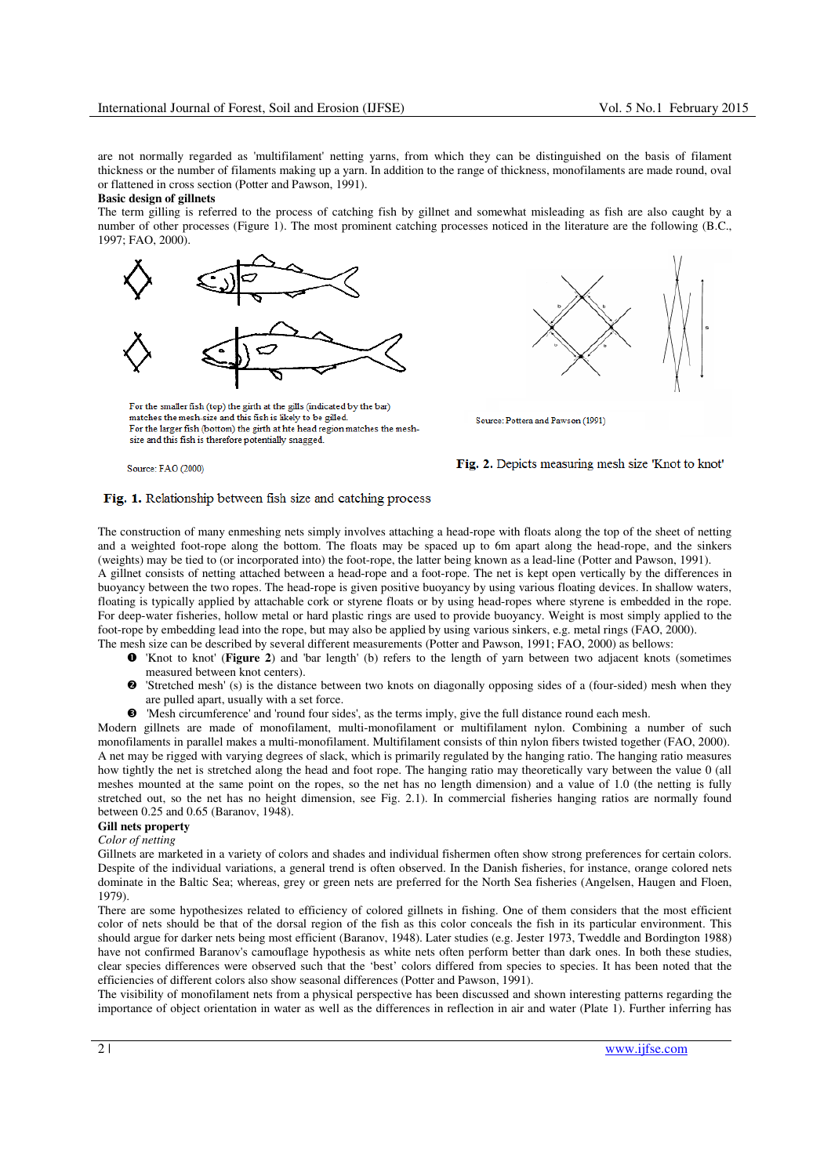are not normally regarded as 'multifilament' netting yarns, from which they can be distinguished on the basis of filament thickness or the number of filaments making up a yarn. In addition to the range of thickness, monofilaments are made round, oval or flattened in cross section (Potter and Pawson, 1991).

## **Basic design of gillnets**

The term gilling is referred to the process of catching fish by gillnet and somewhat misleading as fish are also caught by a number of other processes (Figure 1). The most prominent catching processes noticed in the literature are the following (B.C., 1997; FAO, 2000).



For the smaller fish (top) the girth at the gills (indicated by the bar) matches the mesh-size and this fish is likely to be gilled. For the larger fish (bottom) the girth at hte head region matches the meshsize and this fish is therefore potentially snagged.

Source: FAO (2000)



Source: Pottera and Pawson (1991)

## Fig. 2. Depicts measuring mesh size 'Knot to knot'

# Fig. 1. Relationship between fish size and catching process

The construction of many enmeshing nets simply involves attaching a head-rope with floats along the top of the sheet of netting and a weighted foot-rope along the bottom. The floats may be spaced up to 6m apart along the head-rope, and the sinkers (weights) may be tied to (or incorporated into) the foot-rope, the latter being known as a lead-line (Potter and Pawson, 1991). A gillnet consists of netting attached between a head-rope and a foot-rope. The net is kept open vertically by the differences in buoyancy between the two ropes. The head-rope is given positive buoyancy by using various floating devices. In shallow waters, floating is typically applied by attachable cork or styrene floats or by using head-ropes where styrene is embedded in the rope. For deep-water fisheries, hollow metal or hard plastic rings are used to provide buoyancy. Weight is most simply applied to the foot-rope by embedding lead into the rope, but may also be applied by using various sinkers, e.g. metal rings (FAO, 2000). The mesh size can be described by several different measurements (Potter and Pawson, 1991; FAO, 2000) as bellows:

- 'Knot to knot' (**Figure 2**) and 'bar length' (b) refers to the length of yarn between two adjacent knots (sometimes measured between knot centers).
- $\boldsymbol{\Omega}$  'Stretched mesh' (s) is the distance between two knots on diagonally opposing sides of a (four-sided) mesh when they are pulled apart, usually with a set force.
- 'Mesh circumference' and 'round four sides', as the terms imply, give the full distance round each mesh.

Modern gillnets are made of monofilament, multi-monofilament or multifilament nylon. Combining a number of such monofilaments in parallel makes a multi-monofilament. Multifilament consists of thin nylon fibers twisted together (FAO, 2000). A net may be rigged with varying degrees of slack, which is primarily regulated by the hanging ratio. The hanging ratio measures how tightly the net is stretched along the head and foot rope. The hanging ratio may theoretically vary between the value 0 (all meshes mounted at the same point on the ropes, so the net has no length dimension) and a value of 1.0 (the netting is fully stretched out, so the net has no height dimension, see Fig. 2.1). In commercial fisheries hanging ratios are normally found between 0.25 and 0.65 (Baranov, 1948).

#### **Gill nets property**

### *Color of netting*

Gillnets are marketed in a variety of colors and shades and individual fishermen often show strong preferences for certain colors. Despite of the individual variations, a general trend is often observed. In the Danish fisheries, for instance, orange colored nets dominate in the Baltic Sea; whereas, grey or green nets are preferred for the North Sea fisheries (Angelsen, Haugen and Floen, 1979).

There are some hypothesizes related to efficiency of colored gillnets in fishing. One of them considers that the most efficient color of nets should be that of the dorsal region of the fish as this color conceals the fish in its particular environment. This should argue for darker nets being most efficient (Baranov, 1948). Later studies (e.g. Jester 1973, Tweddle and Bordington 1988) have not confirmed Baranov's camouflage hypothesis as white nets often perform better than dark ones. In both these studies, clear species differences were observed such that the 'best' colors differed from species to species. It has been noted that the efficiencies of different colors also show seasonal differences (Potter and Pawson, 1991).

The visibility of monofilament nets from a physical perspective has been discussed and shown interesting patterns regarding the importance of object orientation in water as well as the differences in reflection in air and water (Plate 1). Further inferring has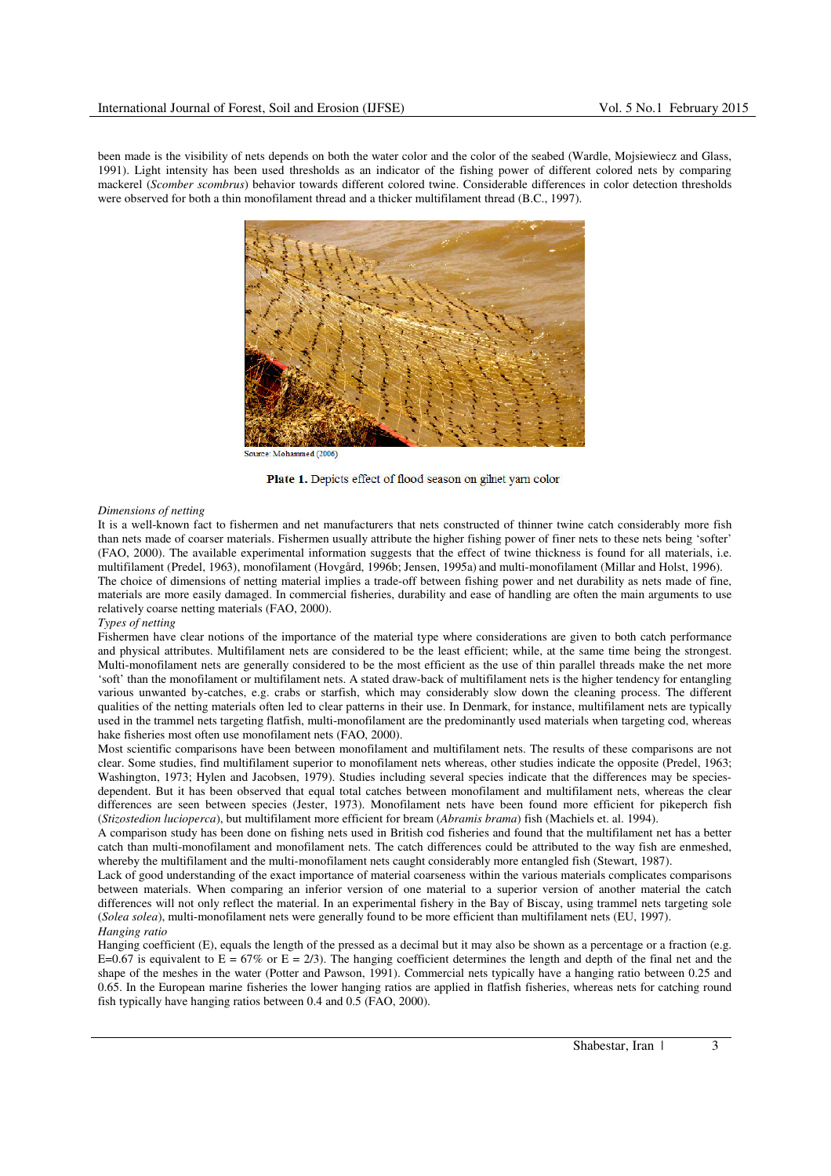been made is the visibility of nets depends on both the water color and the color of the seabed (Wardle, Mojsiewiecz and Glass, 1991). Light intensity has been used thresholds as an indicator of the fishing power of different colored nets by comparing mackerel (*Scomber scombrus*) behavior towards different colored twine. Considerable differences in color detection thresholds were observed for both a thin monofilament thread and a thicker multifilament thread (B.C., 1997).



ree: Mohammed (2006



## *Dimensions of netting*

It is a well-known fact to fishermen and net manufacturers that nets constructed of thinner twine catch considerably more fish than nets made of coarser materials. Fishermen usually attribute the higher fishing power of finer nets to these nets being 'softer' (FAO, 2000). The available experimental information suggests that the effect of twine thickness is found for all materials, i.e. multifilament (Predel, 1963), monofilament (Hovgård, 1996b; Jensen, 1995a) and multi-monofilament (Millar and Holst, 1996). The choice of dimensions of netting material implies a trade-off between fishing power and net durability as nets made of fine, materials are more easily damaged. In commercial fisheries, durability and ease of handling are often the main arguments to use relatively coarse netting materials (FAO, 2000).

## *Types of netting*

Fishermen have clear notions of the importance of the material type where considerations are given to both catch performance and physical attributes. Multifilament nets are considered to be the least efficient; while, at the same time being the strongest. Multi-monofilament nets are generally considered to be the most efficient as the use of thin parallel threads make the net more 'soft' than the monofilament or multifilament nets. A stated draw-back of multifilament nets is the higher tendency for entangling various unwanted by-catches, e.g. crabs or starfish, which may considerably slow down the cleaning process. The different qualities of the netting materials often led to clear patterns in their use. In Denmark, for instance, multifilament nets are typically used in the trammel nets targeting flatfish, multi-monofilament are the predominantly used materials when targeting cod, whereas hake fisheries most often use monofilament nets (FAO, 2000).

Most scientific comparisons have been between monofilament and multifilament nets. The results of these comparisons are not clear. Some studies, find multifilament superior to monofilament nets whereas, other studies indicate the opposite (Predel, 1963; Washington, 1973; Hylen and Jacobsen, 1979). Studies including several species indicate that the differences may be speciesdependent. But it has been observed that equal total catches between monofilament and multifilament nets, whereas the clear differences are seen between species (Jester, 1973). Monofilament nets have been found more efficient for pikeperch fish (*Stizostedion lucioperca*), but multifilament more efficient for bream (*Abramis brama*) fish (Machiels et. al. 1994).

A comparison study has been done on fishing nets used in British cod fisheries and found that the multifilament net has a better catch than multi-monofilament and monofilament nets. The catch differences could be attributed to the way fish are enmeshed, whereby the multifilament and the multi-monofilament nets caught considerably more entangled fish (Stewart, 1987).

Lack of good understanding of the exact importance of material coarseness within the various materials complicates comparisons between materials. When comparing an inferior version of one material to a superior version of another material the catch differences will not only reflect the material. In an experimental fishery in the Bay of Biscay, using trammel nets targeting sole (*Solea solea*), multi-monofilament nets were generally found to be more efficient than multifilament nets (EU, 1997). *Hanging ratio* 

Hanging coefficient (E), equals the length of the pressed as a decimal but it may also be shown as a percentage or a fraction (e.g. E=0.67 is equivalent to E = 67% or E = 2/3). The hanging coefficient determines the length and depth of the final net and the shape of the meshes in the water (Potter and Pawson, 1991). Commercial nets typically have a hanging ratio between 0.25 and 0.65. In the European marine fisheries the lower hanging ratios are applied in flatfish fisheries, whereas nets for catching round fish typically have hanging ratios between 0.4 and 0.5 (FAO, 2000).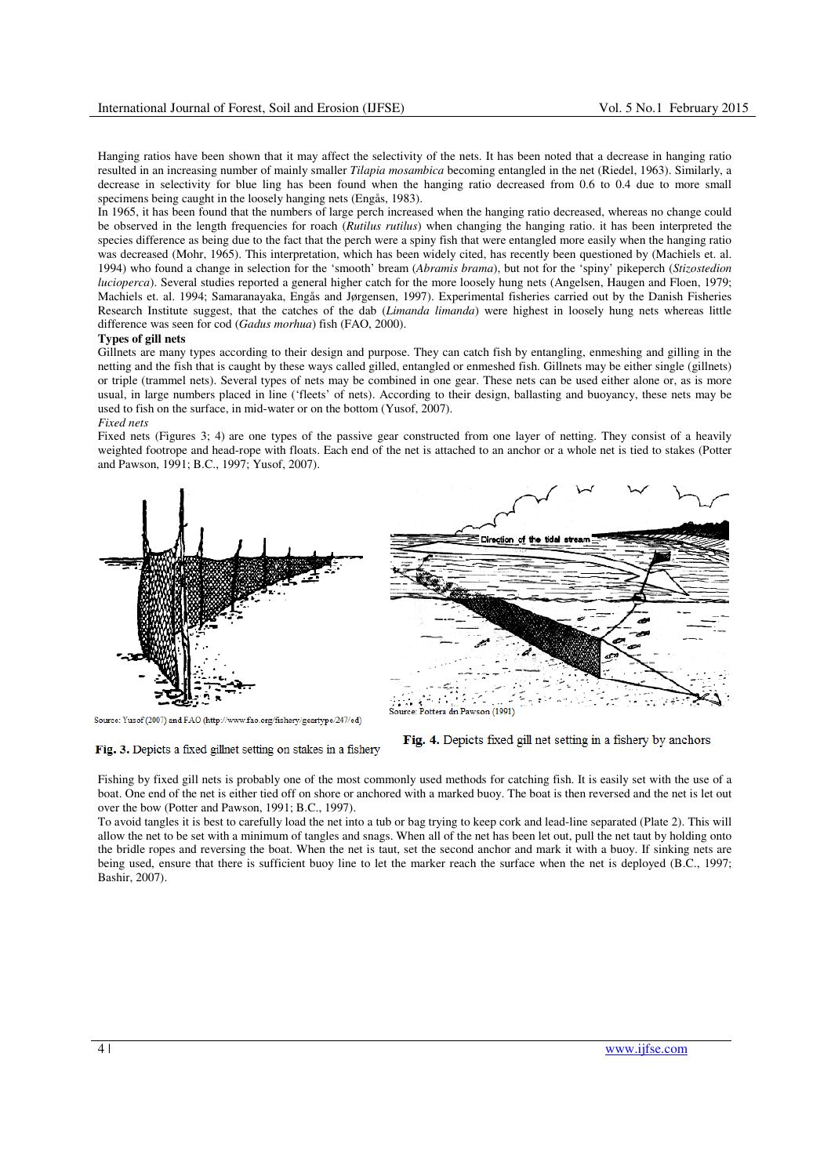Hanging ratios have been shown that it may affect the selectivity of the nets. It has been noted that a decrease in hanging ratio resulted in an increasing number of mainly smaller *Tilapia mosambica* becoming entangled in the net (Riedel, 1963). Similarly, a decrease in selectivity for blue ling has been found when the hanging ratio decreased from 0.6 to 0.4 due to more small specimens being caught in the loosely hanging nets (Engås, 1983).

In 1965, it has been found that the numbers of large perch increased when the hanging ratio decreased, whereas no change could be observed in the length frequencies for roach (*Rutilus rutilus*) when changing the hanging ratio. it has been interpreted the species difference as being due to the fact that the perch were a spiny fish that were entangled more easily when the hanging ratio was decreased (Mohr, 1965). This interpretation, which has been widely cited, has recently been questioned by (Machiels et. al. 1994) who found a change in selection for the 'smooth' bream (*Abramis brama*), but not for the 'spiny' pikeperch (*Stizostedion lucioperca*). Several studies reported a general higher catch for the more loosely hung nets (Angelsen, Haugen and Floen, 1979; Machiels et. al. 1994; Samaranayaka, Engås and Jørgensen, 1997). Experimental fisheries carried out by the Danish Fisheries Research Institute suggest, that the catches of the dab (*Limanda limanda*) were highest in loosely hung nets whereas little difference was seen for cod (*Gadus morhua*) fish (FAO, 2000).

#### **Types of gill nets**

Gillnets are many types according to their design and purpose. They can catch fish by entangling, enmeshing and gilling in the netting and the fish that is caught by these ways called gilled, entangled or enmeshed fish. Gillnets may be either single (gillnets) or triple (trammel nets). Several types of nets may be combined in one gear. These nets can be used either alone or, as is more usual, in large numbers placed in line ('fleets' of nets). According to their design, ballasting and buoyancy, these nets may be used to fish on the surface, in mid-water or on the bottom (Yusof, 2007). *Fixed nets* 

Fixed nets (Figures 3; 4) are one types of the passive gear constructed from one layer of netting. They consist of a heavily weighted footrope and head-rope with floats. Each end of the net is attached to an anchor or a whole net is tied to stakes (Potter and Pawson, 1991; B.C., 1997; Yusof, 2007).



Source: Yusof (2007) and FAO (http://www.fao.org/fishery/geartype/247/ed)

Fig. 3. Depicts a fixed gillnet setting on stakes in a fishery



Fig. 4. Depicts fixed gill net setting in a fishery by anchors

Fishing by fixed gill nets is probably one of the most commonly used methods for catching fish. It is easily set with the use of a boat. One end of the net is either tied off on shore or anchored with a marked buoy. The boat is then reversed and the net is let out over the bow (Potter and Pawson, 1991; B.C., 1997).

To avoid tangles it is best to carefully load the net into a tub or bag trying to keep cork and lead-line separated (Plate 2). This will allow the net to be set with a minimum of tangles and snags. When all of the net has been let out, pull the net taut by holding onto the bridle ropes and reversing the boat. When the net is taut, set the second anchor and mark it with a buoy. If sinking nets are being used, ensure that there is sufficient buoy line to let the marker reach the surface when the net is deployed (B.C., 1997; Bashir, 2007).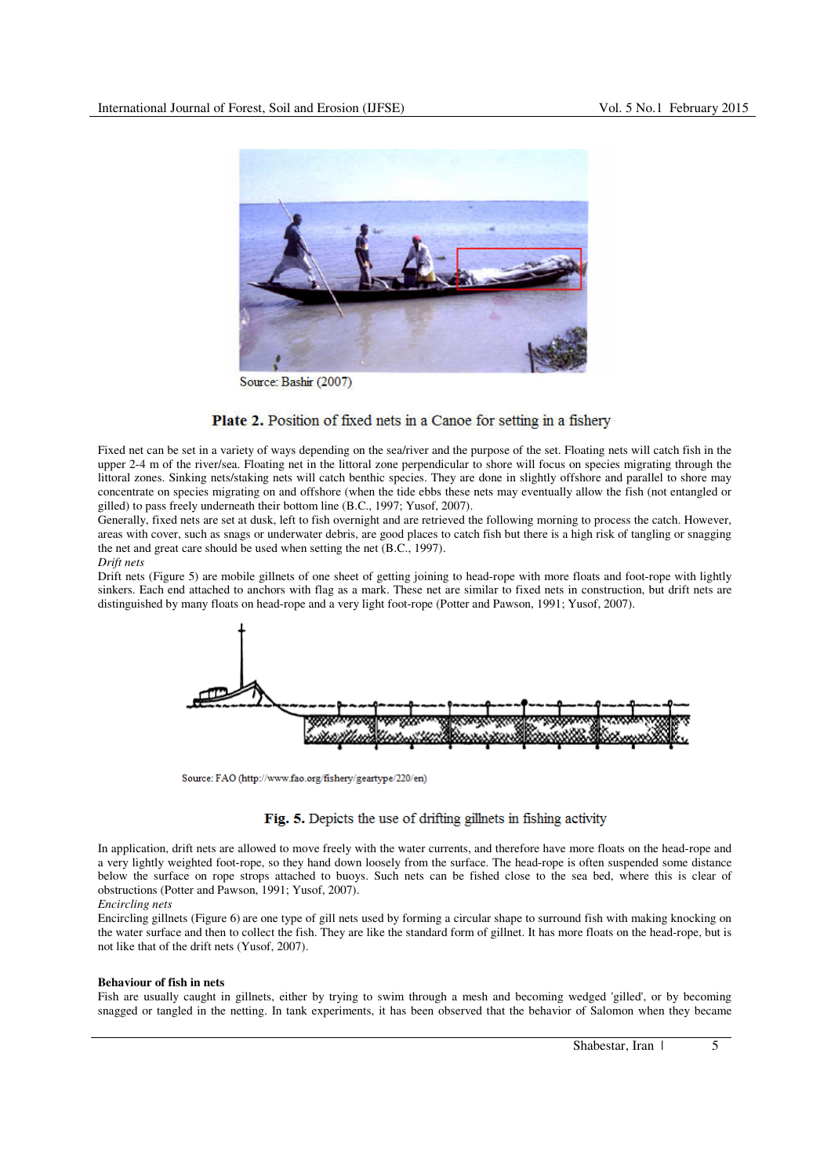

Source: Bashir (2007)

# Plate 2. Position of fixed nets in a Canoe for setting in a fishery

Fixed net can be set in a variety of ways depending on the sea/river and the purpose of the set. Floating nets will catch fish in the upper 2-4 m of the river/sea. Floating net in the littoral zone perpendicular to shore will focus on species migrating through the littoral zones. Sinking nets/staking nets will catch benthic species. They are done in slightly offshore and parallel to shore may concentrate on species migrating on and offshore (when the tide ebbs these nets may eventually allow the fish (not entangled or gilled) to pass freely underneath their bottom line (B.C., 1997; Yusof, 2007).

Generally, fixed nets are set at dusk, left to fish overnight and are retrieved the following morning to process the catch. However, areas with cover, such as snags or underwater debris, are good places to catch fish but there is a high risk of tangling or snagging the net and great care should be used when setting the net (B.C., 1997).

*Drift nets* 

Drift nets (Figure 5) are mobile gillnets of one sheet of getting joining to head-rope with more floats and foot-rope with lightly sinkers. Each end attached to anchors with flag as a mark. These net are similar to fixed nets in construction, but drift nets are distinguished by many floats on head-rope and a very light foot-rope (Potter and Pawson, 1991; Yusof, 2007).



Source: FAO (http://www.fao.org/fishery/geartype/220/en)

# Fig. 5. Depicts the use of drifting gillnets in fishing activity

In application, drift nets are allowed to move freely with the water currents, and therefore have more floats on the head-rope and a very lightly weighted foot-rope, so they hand down loosely from the surface. The head-rope is often suspended some distance below the surface on rope strops attached to buoys. Such nets can be fished close to the sea bed, where this is clear of obstructions (Potter and Pawson, 1991; Yusof, 2007).

## *Encircling nets*

Encircling gillnets (Figure 6) are one type of gill nets used by forming a circular shape to surround fish with making knocking on the water surface and then to collect the fish. They are like the standard form of gillnet. It has more floats on the head-rope, but is not like that of the drift nets (Yusof, 2007).

### **Behaviour of fish in nets**

Fish are usually caught in gillnets, either by trying to swim through a mesh and becoming wedged 'gilled', or by becoming snagged or tangled in the netting. In tank experiments, it has been observed that the behavior of Salomon when they became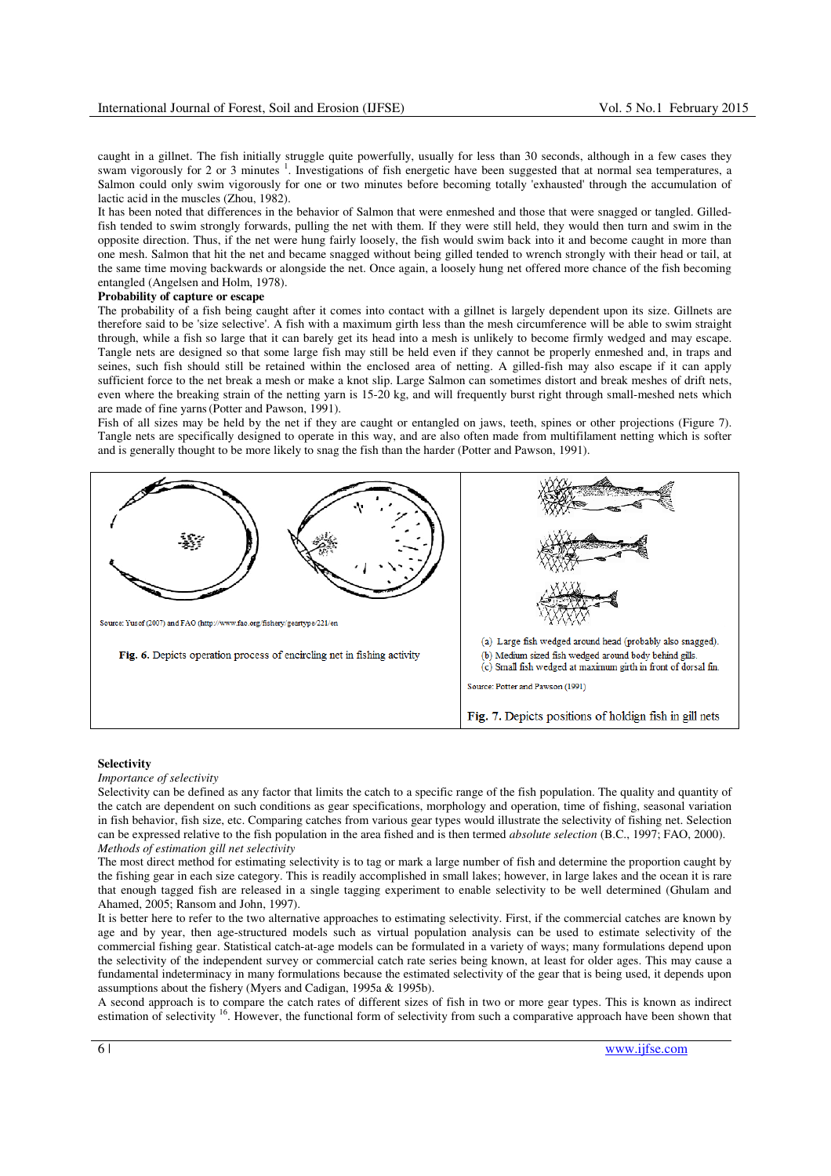caught in a gillnet. The fish initially struggle quite powerfully, usually for less than 30 seconds, although in a few cases they swam vigorously for 2 or 3 minutes  $1$ . Investigations of fish energetic have been suggested that at normal sea temperatures, a Salmon could only swim vigorously for one or two minutes before becoming totally 'exhausted' through the accumulation of lactic acid in the muscles (Zhou, 1982).

It has been noted that differences in the behavior of Salmon that were enmeshed and those that were snagged or tangled. Gilledfish tended to swim strongly forwards, pulling the net with them. If they were still held, they would then turn and swim in the opposite direction. Thus, if the net were hung fairly loosely, the fish would swim back into it and become caught in more than one mesh. Salmon that hit the net and became snagged without being gilled tended to wrench strongly with their head or tail, at the same time moving backwards or alongside the net. Once again, a loosely hung net offered more chance of the fish becoming entangled (Angelsen and Holm, 1978).

## **Probability of capture or escape**

The probability of a fish being caught after it comes into contact with a gillnet is largely dependent upon its size. Gillnets are therefore said to be 'size selective'. A fish with a maximum girth less than the mesh circumference will be able to swim straight through, while a fish so large that it can barely get its head into a mesh is unlikely to become firmly wedged and may escape. Tangle nets are designed so that some large fish may still be held even if they cannot be properly enmeshed and, in traps and seines, such fish should still be retained within the enclosed area of netting. A gilled-fish may also escape if it can apply sufficient force to the net break a mesh or make a knot slip. Large Salmon can sometimes distort and break meshes of drift nets, even where the breaking strain of the netting yarn is 15-20 kg, and will frequently burst right through small-meshed nets which are made of fine yarns (Potter and Pawson, 1991).

Fish of all sizes may be held by the net if they are caught or entangled on jaws, teeth, spines or other projections (Figure 7). Tangle nets are specifically designed to operate in this way, and are also often made from multifilament netting which is softer and is generally thought to be more likely to snag the fish than the harder (Potter and Pawson, 1991).



#### **Selectivity**

#### *Importance of selectivity*

Selectivity can be defined as any factor that limits the catch to a specific range of the fish population. The quality and quantity of the catch are dependent on such conditions as gear specifications, morphology and operation, time of fishing, seasonal variation in fish behavior, fish size, etc. Comparing catches from various gear types would illustrate the selectivity of fishing net. Selection can be expressed relative to the fish population in the area fished and is then termed *absolute selection* (B.C., 1997; FAO, 2000). *Methods of estimation gill net selectivity* 

The most direct method for estimating selectivity is to tag or mark a large number of fish and determine the proportion caught by the fishing gear in each size category. This is readily accomplished in small lakes; however, in large lakes and the ocean it is rare that enough tagged fish are released in a single tagging experiment to enable selectivity to be well determined (Ghulam and Ahamed, 2005; Ransom and John, 1997).

It is better here to refer to the two alternative approaches to estimating selectivity. First, if the commercial catches are known by age and by year, then age-structured models such as virtual population analysis can be used to estimate selectivity of the commercial fishing gear. Statistical catch-at-age models can be formulated in a variety of ways; many formulations depend upon the selectivity of the independent survey or commercial catch rate series being known, at least for older ages. This may cause a fundamental indeterminacy in many formulations because the estimated selectivity of the gear that is being used, it depends upon assumptions about the fishery (Myers and Cadigan, 1995a & 1995b).

A second approach is to compare the catch rates of different sizes of fish in two or more gear types. This is known as indirect estimation of selectivity <sup>16</sup>. However, the functional form of selectivity from such a comparative approach have been shown that